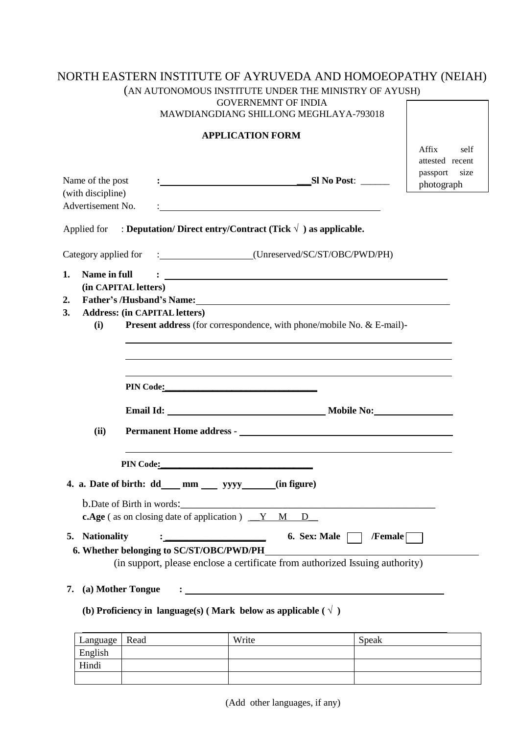# NORTH EASTERN INSTITUTE OF AYRUVEDA AND HOMOEOPATHY (NEIAH)

|                                                            |                                          | (AN AUTONOMOUS INSTITUTE UNDER THE MINISTRY OF AYUSH)<br><b>GOVERNEMNT OF INDIA</b><br>MAWDIANGDIANG SHILLONG MEGHLAYA-793018    |                                                                                                                                                                                                                                        |                                                                    |
|------------------------------------------------------------|------------------------------------------|----------------------------------------------------------------------------------------------------------------------------------|----------------------------------------------------------------------------------------------------------------------------------------------------------------------------------------------------------------------------------------|--------------------------------------------------------------------|
|                                                            |                                          | <b>APPLICATION FORM</b>                                                                                                          |                                                                                                                                                                                                                                        |                                                                    |
| Name of the post<br>(with discipline)<br>Advertisement No. |                                          |                                                                                                                                  |                                                                                                                                                                                                                                        | Affix<br>self<br>attested recent<br>passport<br>size<br>photograph |
|                                                            |                                          | Applied for : Deputation/Direct entry/Contract (Tick $\sqrt{ }$ ) as applicable.                                                 |                                                                                                                                                                                                                                        |                                                                    |
|                                                            |                                          |                                                                                                                                  |                                                                                                                                                                                                                                        |                                                                    |
| 1.<br>Name in full                                         |                                          |                                                                                                                                  | $\mathbf{C}=\frac{1}{2}$ . The contract of the contract of the contract of the contract of the contract of the contract of the contract of the contract of the contract of the contract of the contract of the contract of the contrac |                                                                    |
|                                                            | (in CAPITAL letters)                     |                                                                                                                                  |                                                                                                                                                                                                                                        |                                                                    |
| 2.                                                         |                                          |                                                                                                                                  |                                                                                                                                                                                                                                        |                                                                    |
|                                                            |                                          |                                                                                                                                  |                                                                                                                                                                                                                                        |                                                                    |
| 3.                                                         | <b>Address: (in CAPITAL letters)</b>     |                                                                                                                                  |                                                                                                                                                                                                                                        |                                                                    |
| (i)                                                        |                                          |                                                                                                                                  | <b>Present address</b> (for correspondence, with phone/mobile No. & E-mail)-                                                                                                                                                           |                                                                    |
|                                                            |                                          | PIN Code:                                                                                                                        | <u> 1989 - Johann Stoff, amerikansk politiker (* 1908)</u>                                                                                                                                                                             |                                                                    |
|                                                            |                                          |                                                                                                                                  |                                                                                                                                                                                                                                        |                                                                    |
| (ii)                                                       |                                          |                                                                                                                                  | Permanent Home address - Contract of the Contract of the Contract of the Contract of the Contract of the Contract of the Contract of the Contract of the Contract of the Contract of the Contract of the Contract of the Contr         |                                                                    |
|                                                            |                                          |                                                                                                                                  |                                                                                                                                                                                                                                        |                                                                    |
|                                                            | <b>PIN Code:</b>                         |                                                                                                                                  |                                                                                                                                                                                                                                        |                                                                    |
|                                                            |                                          | 4. a. Date of birth: dd__mm __ yyyy____(in figure)                                                                               |                                                                                                                                                                                                                                        |                                                                    |
|                                                            | <b>b.</b> Date of Birth in words:        | <u> 1980 - Johann John Stone, mars eta biztanleria (h. 1980).</u><br><b>c.Age</b> (as on closing date of application) $Y \ M$ D_ |                                                                                                                                                                                                                                        |                                                                    |
|                                                            |                                          |                                                                                                                                  |                                                                                                                                                                                                                                        |                                                                    |
| 5. Nationality                                             |                                          |                                                                                                                                  | 6. Sex: Male $\Box$ /Female                                                                                                                                                                                                            |                                                                    |
|                                                            | 6. Whether belonging to SC/ST/OBC/PWD/PH |                                                                                                                                  | (in support, please enclose a certificate from authorized Issuing authority)                                                                                                                                                           |                                                                    |
| 7.                                                         | (a) Mother Tongue                        |                                                                                                                                  |                                                                                                                                                                                                                                        |                                                                    |

Language Read Write Speak English Hindi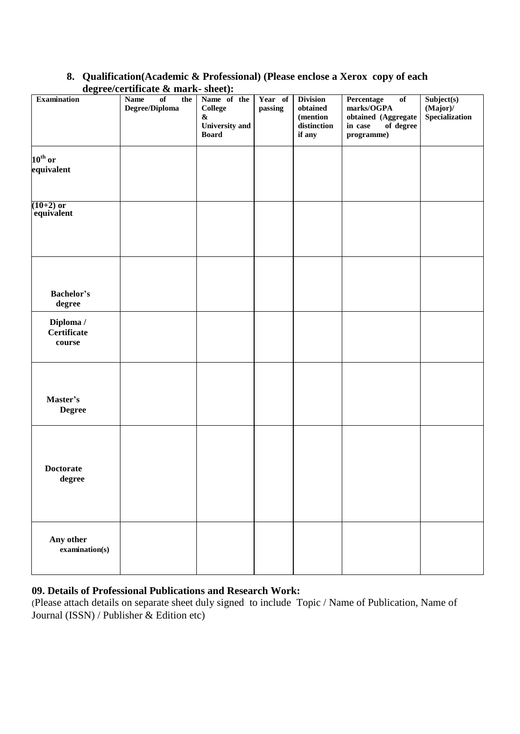|                                        | $\alpha$ gradamaan $\alpha$ mark-shad. |                                                                                      |                    |                                                                    |                                                                                             |                                             |
|----------------------------------------|----------------------------------------|--------------------------------------------------------------------------------------|--------------------|--------------------------------------------------------------------|---------------------------------------------------------------------------------------------|---------------------------------------------|
| <b>Examination</b>                     | Name<br>of<br>the<br>Degree/Diploma    | Name of the<br><b>College</b><br>$\pmb{\&}$<br><b>University and</b><br><b>Board</b> | Year of<br>passing | <b>Division</b><br>$obtained$<br>(mention<br>distinction<br>if any | Percentage<br>of<br>marks/OGPA<br>obtained (Aggregate<br>in case<br>of degree<br>programme) | Subject(s)<br>$(Major)$ /<br>Specialization |
|                                        |                                        |                                                                                      |                    |                                                                    |                                                                                             |                                             |
| $10^{\text{th}}$ or                    |                                        |                                                                                      |                    |                                                                    |                                                                                             |                                             |
| equivalent                             |                                        |                                                                                      |                    |                                                                    |                                                                                             |                                             |
|                                        |                                        |                                                                                      |                    |                                                                    |                                                                                             |                                             |
| $(10+2)$ or                            |                                        |                                                                                      |                    |                                                                    |                                                                                             |                                             |
| equivalent                             |                                        |                                                                                      |                    |                                                                    |                                                                                             |                                             |
|                                        |                                        |                                                                                      |                    |                                                                    |                                                                                             |                                             |
|                                        |                                        |                                                                                      |                    |                                                                    |                                                                                             |                                             |
|                                        |                                        |                                                                                      |                    |                                                                    |                                                                                             |                                             |
|                                        |                                        |                                                                                      |                    |                                                                    |                                                                                             |                                             |
|                                        |                                        |                                                                                      |                    |                                                                    |                                                                                             |                                             |
|                                        |                                        |                                                                                      |                    |                                                                    |                                                                                             |                                             |
| Bachelor's                             |                                        |                                                                                      |                    |                                                                    |                                                                                             |                                             |
| degree                                 |                                        |                                                                                      |                    |                                                                    |                                                                                             |                                             |
| Diploma /                              |                                        |                                                                                      |                    |                                                                    |                                                                                             |                                             |
| Certificate                            |                                        |                                                                                      |                    |                                                                    |                                                                                             |                                             |
| course                                 |                                        |                                                                                      |                    |                                                                    |                                                                                             |                                             |
|                                        |                                        |                                                                                      |                    |                                                                    |                                                                                             |                                             |
|                                        |                                        |                                                                                      |                    |                                                                    |                                                                                             |                                             |
|                                        |                                        |                                                                                      |                    |                                                                    |                                                                                             |                                             |
|                                        |                                        |                                                                                      |                    |                                                                    |                                                                                             |                                             |
| Master's                               |                                        |                                                                                      |                    |                                                                    |                                                                                             |                                             |
| <b>Degree</b>                          |                                        |                                                                                      |                    |                                                                    |                                                                                             |                                             |
|                                        |                                        |                                                                                      |                    |                                                                    |                                                                                             |                                             |
|                                        |                                        |                                                                                      |                    |                                                                    |                                                                                             |                                             |
|                                        |                                        |                                                                                      |                    |                                                                    |                                                                                             |                                             |
|                                        |                                        |                                                                                      |                    |                                                                    |                                                                                             |                                             |
| <b>Doctorate</b>                       |                                        |                                                                                      |                    |                                                                    |                                                                                             |                                             |
|                                        |                                        |                                                                                      |                    |                                                                    |                                                                                             |                                             |
| degree                                 |                                        |                                                                                      |                    |                                                                    |                                                                                             |                                             |
|                                        |                                        |                                                                                      |                    |                                                                    |                                                                                             |                                             |
|                                        |                                        |                                                                                      |                    |                                                                    |                                                                                             |                                             |
|                                        |                                        |                                                                                      |                    |                                                                    |                                                                                             |                                             |
|                                        |                                        |                                                                                      |                    |                                                                    |                                                                                             |                                             |
| Any other                              |                                        |                                                                                      |                    |                                                                    |                                                                                             |                                             |
| $\boldsymbol{\mathrm{examination(s)}}$ |                                        |                                                                                      |                    |                                                                    |                                                                                             |                                             |
|                                        |                                        |                                                                                      |                    |                                                                    |                                                                                             |                                             |
|                                        |                                        |                                                                                      |                    |                                                                    |                                                                                             |                                             |

# **8. Qualification(Academic & Professional) (Please enclose a Xerox copy of each degree/certificate & mark- sheet):**

# **09. Details of Professional Publications and Research Work:**

(Please attach details on separate sheet duly signed to include Topic / Name of Publication, Name of Journal (ISSN) / Publisher & Edition etc)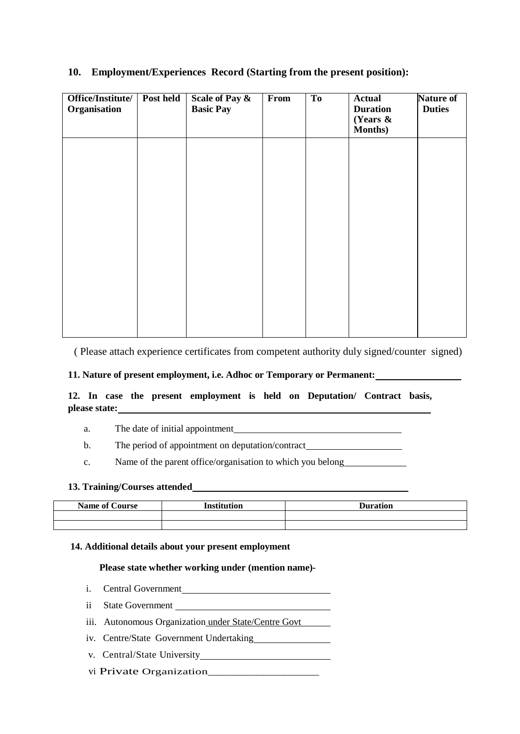| Office/Institute/<br>Organisation | Post held | Scale of Pay &<br><b>Basic Pay</b> | From | T <sub>o</sub> | <b>Actual</b><br><b>Duration</b><br>(Years $\&$<br>Months) | Nature of<br><b>Duties</b> |
|-----------------------------------|-----------|------------------------------------|------|----------------|------------------------------------------------------------|----------------------------|
|                                   |           |                                    |      |                |                                                            |                            |
|                                   |           |                                    |      |                |                                                            |                            |
|                                   |           |                                    |      |                |                                                            |                            |
|                                   |           |                                    |      |                |                                                            |                            |
|                                   |           |                                    |      |                |                                                            |                            |

### **10. Employment/Experiences Record (Starting from the present position):**

( Please attach experience certificates from competent authority duly signed/counter signed)

#### **11. Nature of present employment, i.e. Adhoc or Temporary or Permanent:**

**12. In case the present employment is held on Deputation/ Contract basis, please state:**

a. The date of initial appointment

b. The period of appointment on deputation/contract

c. Name of the parent office/organisation to which you belong

#### **13. Training/Courses attended**

| <b>Name of Course</b> | <b>Institution</b> | <b>Puration</b> |
|-----------------------|--------------------|-----------------|
|                       |                    |                 |
|                       |                    |                 |

#### **14. Additional details about your present employment**

#### **Please state whether working under (mention name)-**

- i. Central Government
- ii State Government
- iii. Autonomous Organization under State/Centre Govt
- iv. Centre/State Government Undertaking
- v. Central/State University
- vi Private Organization\_\_\_\_\_\_\_\_\_\_\_\_\_\_\_\_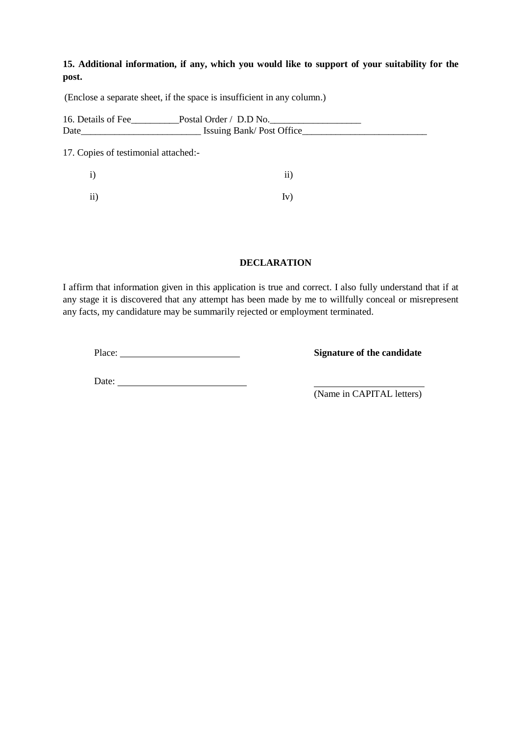# **15. Additional information, if any, which you would like to support of your suitability for the post.**

(Enclose a separate sheet, if the space is insufficient in any column.)

| 16. Details of Fee<br>Date           | $\_\text{Postal Order}/\_\text{D.D No.}$<br>Issuing Bank/Post Office |  |
|--------------------------------------|----------------------------------------------------------------------|--|
| 17. Copies of testimonial attached:- |                                                                      |  |
| 1)                                   | $\overline{11}$                                                      |  |
| 11)                                  | Iv)                                                                  |  |

#### **DECLARATION**

I affirm that information given in this application is true and correct. I also fully understand that if at any stage it is discovered that any attempt has been made by me to willfully conceal or misrepresent any facts, my candidature may be summarily rejected or employment terminated.

Place: **Signature of the candidate**

Date:

(Name in CAPITAL letters)